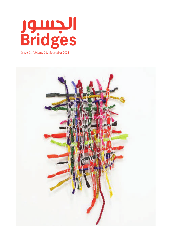

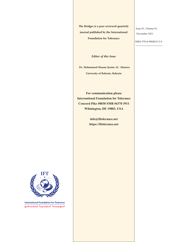The Bridges is a peer reviewed quarterly journal published by the International **Foundation for Tolerance** 

*Editor* of this Issue

**Dr. Mohammed Hassan Jassim AL -Mutawa** 

**University of Bahrain, Bahrain** 

**For communication please International Foundation for Tolerance Concord Pike #8030 SMB #6370 3911 Wilmington, DE 19803, USA** 

> info@iftolerance.net https://iftolerance.net

Issue 01, Volume 01, 2021 November

ISBN 978-0-9988635-5-9

**International Foundation For Tolerance** المسهويانية المسدوليوسة لللتسبيله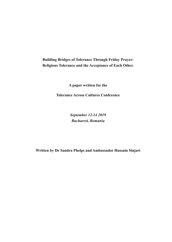**Building Bridges of Tolerance Through Friday Prayer:** Religious Tolerance and the Acceptance of Each Other.

**A** paper written for the

**Tolerance Across Cultures Conference** 

 *2019 12-14 September*  $Bucharest, Romania$ 

Written by Dr Sandra Phelps and Ambassador Hussain Sinjari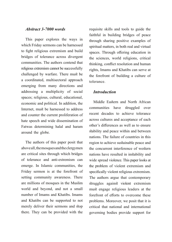## *Abstract 3-7000 words*

This paper explores the ways in which Friday sermons can be harnessed to fight religious extremism and build bridges of tolerance across divergent communities. The authors contend that religious extremism cannot be successfully challenged by warfare. There must be a coordinated, multisectoral approach emerging from many directions and addressing a multiplicity of social spaces; religious, cultural, educational, economic and political. In addition, the Internet, must be harnessed to address and counter the current proliferation of hate speech and wide dissemination of Fatwas determining halal and haram around the globe.

The authors of this paper posit that above all, the mosques and the clergymen are critical sites through which bridges of tolerance and anti-extremism can emerge. In Islamic communities, the Friday sermon is at the forefront of setting community awareness. There are millions of mosques in the Muslim world and beyond, and not a small number of Imams and Khatibs. Imams and Khatibs can be supported to not merely deliver their sermons and stop there. They can be provided with the

requisite skills and tools to guide the faithful in building bridges of peace through sharing positive examples of spiritual matters, in both real and virtual spaces. Through offering education in the sciences, world religions, critical thinking, conflict resolution and human rights, Imams and Khatibs can serve at the forefront of building a culture of tolerance.

### *Introduction*

Middle Eastern and North African communities have struggled over recent decades to achieve tolerance across cultures and acceptance of each other's differences as well as to ensure stability and peace within and between nations. The failure of countries in this region to achieve sustainable peace and the concurrent interference of western nations have resulted in instability and wide spread violence. This paper looks at the problem of violent extremism and specifically violent religious extremism. The authors argue that contemporary struggles against violent extremism must engage religious leaders at the forefront of efforts to overcome these problems. Moreover, we posit that it is critical that national and international governing bodies provide support for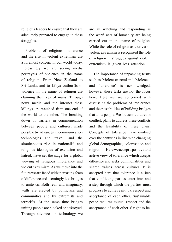religious leaders to ensure that they are adequately prepared to engage in these struggles.

Problems of religious intolerance and the rise in violent extremism are a foremost concern in our world today. Increasingly we are seeing media portrayals of violence in the name of religion. From New Zealand to Sri Lanka and to Libya outbursts of violence in the name of religion are claiming the lives of many. Through news media and the internet these killings are watched from one end of the world to the other. The breaking down of barriers in communication between people and cultures, made possible by advances in communication technologies and travel, and the simultaneous rise in nationalist and religious ideologies of exclusion and hatred, have set the stage for a global viewing of religious intolerance and violent extremism. As we move into the future we are faced with increasing fears of difference and seemingly less bridges to unite us. Both real, and imaginary, walls are erected by politicians and communities and by extremists and terrorists. At the same time bridges uniting people are blocked or destroyed. Through advances in technology we

are all watching and responding as the worst acts of humanity are being carried out in the name of religion. While the role of religion as a driver of violent extremism is recognised the role of religion in struggles against violent extremism is given less attention.

The importance of unpacking terms such as 'violent extremism', 'violence' and 'tolerance' is acknowledged, however these tasks are not the focus here. Here we are concerned with discussing the problems of intolerance and the possibilities of building bridges that unite people. We focus on cultures in conflict, plans to address these conflicts and the feasibility of these plans. Concepts of tolerance have evolved over the centuries in line with changing global demographics, colonisation and migration. Here we accept a positive and active view of tolerance which accepts difference and seeks commonalities and shared values across cultures. It is accepted here that tolerance is a step that conflicting parties enter into and a step through which the parties must progress to achieve mutual respect and acceptance of each other. Sustainable peace requires mutual respect and the acceptance of each other's' right to be.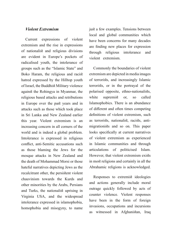## *Extremism Violent*

Current expressions of violent extremism and the rise in expressions of nationalist and religious divisions are evident in Europe's pockets of radicalised youth, the intolerance of groups such as the "Islamic State" and Boko Haram, the religious and racist hatred expressed by the Hilltop youth of Israel, the Buddhist Military violence against the Rohingya in Myanmar, the religious based attacks and retributions in Europe over the past years and in attacks such as those which took place in Sri Lanka and New Zealand earlier this year. Violent extremism is an increasing concern in all corners of the world and is indeed a global problem. Intolerance is expressed in religious conflict, anti-Semitic accusations such as those blaming the Jews for the mosque attacks in New Zealand and the death of Mohammad Morsi or those hateful narratives depicting Jews as the recalcitrant other, the persistent violent chauvinism towards the Kurds and other minorities by the Arabs, Persians and Turks, the nationalist uprising in Virginia USA, and the widespread intolerance expressed in islamophobia, homophobia and misogyny, to name

just a few examples. Tensions between local and global communities which have been concerns for many decades are finding new places for expression through religious intolerance and violent extremism.

Commonly the boundaries of violent extremism are depicted in media images of terrorists, and increasingly Islamic terrorists, or in the portrayal of the polarised opposite, ethno-nationalists, white supremist or, so called Islamophobics. There is an abundance of different and often times competing definitions of violent extremism, such migrationists and so on. This paper as terrorists, nationalist, racists, antilooks specifically at current narratives of violent extremism as experienced in Islamic communities and through articulations of politicised Islam. However, that violent extremism exists in most religions and certainly in all the Abrahamic religions is acknowledged.

Responses to extremist ideologies and actions generally include moral outrage quickly followed by acts of counter violence. Violent responses have been in the form of foreign invasions, occupations and incursions as witnessed in Afghanistan, Iraq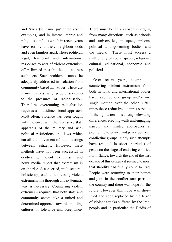and Syria (to name just three recent examples) and in internal ethnic and religious conflicts which in recent years have torn countries, neighbourhoods and even families apart. These political, legal, territorial and international responses to acts of violent extremism offer limited possibilities to address such acts. Such problems cannot be adequately addressed in isolation from community based initiatives. There are many reasons why people succumb to the pressures of radicalisation. Therefore, overcoming radicalisation requires a multidimensional approach. Most often, violence has been fought with violence, with the repressive state apparatus of the military and with political restrictions and laws which curtail the movement of, and meetings between, citizens. However, these methods have not been successful in eradicating violent extremism and news media report that extremism is on the rise. A concerted, multisectoral, holistic approach to addressing violent extremism in a thorough and systematic way is necessary. Countering violent extremism requires that both state and community actors take a united and determined approach towards building cultures of tolerance and acceptance.

There must be an approach emerging from many directions, such as schools and universities, mosques, prisons, political and governing bodies and the media. These must address a multiplicity of social spaces; religious, cultural, educational, economic and .political

Over recent years, attempts at countering violent extremism from both national and international bodies have favoured one group and/or one single method over the other. Often times these reductive attempts serve to further ignite tensions through elevating differences, erecting walls and engaging narrow and limited approaches at promoting tolerance and peace between conflicting groups. Many such attempts have resulted in short interludes of peace on the stage of enduring conflict. For instance, towards the end of the first decade of this century it seemed to most that stability had finally come to Iraq. People were returning to their homes and jobs in the conflict torn parts of the country and there was hope for the lived and soon replaced by the terror future. However this hope was shortof violent attacks suffered by the Iraqi people and in particular the Ezidis of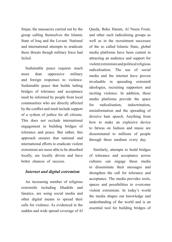Sinjar, the massacres carried out by the group calling themselves the Islamic State of Iraq and the Levant. National and international attempts to eradicate these threats though military force had failed.

Sustainable peace requires much more than oppressive military and foreign responses to violence. Sustainable peace that builds lasting bridges of tolerance and acceptance must be informed by people from local communities who are directly affected by the conflict and must include support of a system of justice for all citizens. This does not occlude international engagement in building bridges of tolerance and peace. But rather, this approach ensures that national and international efforts to eradicate violent extremism are more able to be absorbed locally, are locally driven and have better chances of success.

# **Internet and digital extremism**

An increasing number of religious extremists including Jihadists and fanatics, are using social media and other digital means to spread their calls for violence. As evidenced in the sudden and wide spread coverage of Al

Qaeda, Boko Haram, Al Nusra Front, and other such radicalising groups as well as in the recruitment successes of the so called Islamic State, global media platforms have been central in attracting an audience and support for violent extremism and political religious radicalisation. The use of social media and the internet have proven invaluable in spreading extremist ideologies, recruiting supporters and inciting violence. In addition, these media platforms provide the space for radicalisation, indoctrination. misinformation and the spreading of divisive hate speech. Anything from how to make an explosive device to fatwas on fashion and music are disseminated to millions of people through these medium every day.

Similarly, attempts to build bridges of tolerance and acceptance across cultures can engage these media to disseminate their messages and strengthen the call for tolerance and acceptance. The media provides tools, spaces and possibilities to overcome violent extremism. In today's world the media shapes our knowledge and understanding of the world and is an essential tool for building bridges of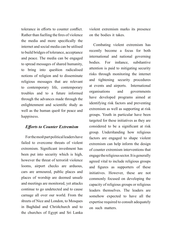tolerance in efforts to counter conflict. Rather than fuelling the fires of violence the media and more specifically the internet and social media can be utilised to build bridges of tolerance, acceptance and peace. The media can be engaged to spread messages of shared humanity, to bring into question radicalised notions of religion and to disseminate religious messages that are relevant to contemporary life, contemporary troubles and to a future informed through the advances made through the enlightenment and scientific study as well as the human quest for peace and happiness.

#### *Efforts* to Counter Extremism

For the most part political leaders have failed to overcome threats of violent extremism. Significant investment has been put into security which is high, however the threat of terrorist violence looms, airport checks are arduous, cars are armoured, public places and places of worship are deemed unsafe and meetings are monitored, yet attacks continue to go undetected and to cause carnage all over our world. From the streets of Nice and London, to Mosques in Baghdad and Christchurch and to the churches of Egypt and Sri Lanka violent extremism marks its presence on the bodies it takes.

Combating violent extremism has recently become a focus for both international and national governing bodies. For instance, substantive attention is paid to mitigating security risks through monitoring the internet and tightening security procedures at events and airports. International organisations and governments have developed programs aimed at identifying risk factors and preventing extremism as well as supporting at risk groups. Youth in particular have been targeted for these initiatives as they are considered to be a significant at risk group. Understanding how religious factors are engaged to shape violent extremism can help inform the design of counter extremism interventions that engage the religious sector. It is generally agreed vital to include religious groups and figures as supporters of these initiatives. However, these are not commonly focused on developing the capacity of religious groups or religious leaders themselves. The leaders are somehow expected to have all the expertise required to consult adequately on such matters.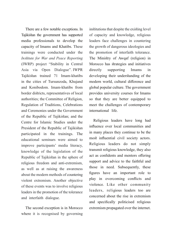There are a few notable exceptions. In Tajikistan the government has supported media professionals to develop the capacity of Imams and Khatibs. These trainings were conducted under the *Institute for War and Peace Reporting* (IWRP) project "Stability in Central Asia via Open Dialogue". IWPR Tajikistan trained 71 Imam-khatibs in the cities of Tursunzoda, Khujand and Konibodom. Imam-khatibs from border districts, representatives of local authorities; the Committee of Religion, Regulation of Traditions, Celebrations and Ceremonies under the Government of the Republic of Tajikistan; and the Centre for Islamic Studies under the President of the Republic of Tajikistan participated in the trainings. The educational seminars were aimed to improve participants' media literacy. knowledge of the legislation of the Republic of Tajikistan in the sphere of religious freedom and anti-extremism, as well as at raising the awareness about the modern methods of countering violent extremism. Another objective of these events was to involve religious leaders in the promotion of the tolerance and interfaith dialogue.

The second exception is in Morocco where it is recognised by governing institutions that despite the existing level of capacity and knowledge, religious leaders face challenges in countering the growth of dangerous ideologies and the promotion of interfaith tolerance. The Ministry of Awqaf (religion) in Morocco has strategies and initiatives directly supporting Imams in developing their understanding of the modern world, cultural difference and global popular culture. The government provides university courses for Imams so that they are better equipped to meet the challenges of contemporary international life.

Religious leaders have long had influence over local communities and in many places they continue to be the most influential civil society actors. Religious leaders do not simply transmit religious knowledge, they also act as confidents and mentors offering support and advice to the faithful and those in need. Subsequently, these figures have an important role to play in overcoming conflicts and violence. Like other community leaders, religious leaders too are concerned about the rise in extremism and specifically politicised religious extremism propagated over the internet.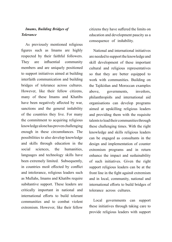# *Imams, Building Bridges of Tolerance*

As previously mentioned religious figures such as Imams are highly respected by their faithful followers. They are influential community members and are uniquely positioned to support initiatives aimed at building interfaith communication and building bridges of tolerance across cultures. However, like their fellow citizens, many of these Imams and Khatibs have been negatively affected by war, sanctions and the general instability of the countries they live. For many the commitment to acquiring religious knowledge alone has proven challenging enough in these circumstances. The possibilities to also develop knowledge and skills through education in the social sciences, the humanities. languages and technology skills have been extremely limited. Subsequently, in countries most effected by conflict and intolerance, religious leaders such as Mullahs, Imams and Khatibs require substantive support. These leaders are critically important in national and international efforts to build to lerant communities and to combat violent extremism. However, like their fellow citizens they have suffered the limits on education and development paucity as a consequence of instability.

National and international initiatives are needed to support the knowledge and skill development of these important cultural and religious representatives so that they are better equipped to work with communities. Building on the Tajikistan and Moroccan examples above, governments, investors, philanthropists and international aid organisations can develop programs aimed at upskilling religious leaders and providing them with the requisite talents to lead their communities through these challenging times. With the right knowledge and skills religious leaders can be engaged as consultants in the design and implementation of counter extremism programs and in return enhance the impact and sustainability of such initiatives. Given the right support religious leaders can be at the front line in the fight against extremism and in local, community, national and international efforts to build bridges of tolerance across cultures.

Local governments can support these initiatives through taking care to provide religious leaders with support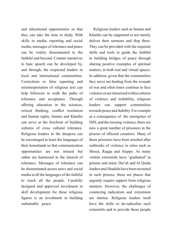and educational opportunities so that they can take the time to study. With skills in media, reporting and social media, messages of tolerance and peace can be widely disseminated to the faithful and beyond. Counter narratives to hate speech can be developed by, and through, the respected leaders in local and international communities. Corrections to false reporting and misinterpretation of religious text can help followers to walk the paths of tolerance and acceptance. Through offering education in the sciences, critical thinking, conflict resolution and human rights, Imams and Khatibs can serve at the forefront of building cultures of cross cultural tolerance. Religious leaders in the diaspora can be encouraged to learn the languages of their homelands so that communication opportunities are not missed but rather are harnessed in the interest of tolerance. Messages of tolerance can be disseminated across news and social media in all the languages of the faithful to reach all the people. Carefully designed and approved investment in skill development for these religious figures is an investment in building sustainable peace.

Religious leaders such as Imams and Khatibs can be supported to not merely deliver their sermons and stop there. They can be provided with the requisite skills and tools to guide the faithful in building bridges of peace through sharing positive examples of spiritual matters, in both real and virtual spaces. In addition, given that the communities they serve are healing from the wounds of war and often times continue to face violence or are immersed within cultures of violence and instability, religious leaders can support communities towards peace and stability. For example as a consequence of the emergence of ISIS, and the ensuing violence, there are now a great number of prisoners in the prisons of effected countries. Many of these prisoners have been arrested after outbreaks of violence in cities such as Mosul, Raqqa and Aleppo. As many violent extremists have 'graduated' in prisons and many Dai'sh and Al Qaida leaders and Jihadists have been recruited in such prisons, these are places that urgently require support from religious mentors. However, the challenges of countering radicalism and extremism are intense. Religious leaders must have the skills to de-radicalise such extremists and to provide these people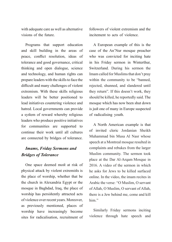with adequate care as well as alternative visions of the future

Programs that support education and skill building in the areas of peace, conflict resolution, ideas of tolerance and good governance, critical thinking and open dialogue, science and technology, and human rights can prepare leaders with the skills to face the difficult and many challenges of violent extremism. With these skills religious leaders will be better positioned to lead initiatives countering violence and hatred. Local governments can provide a system of reward whereby religious leaders who produce positive initiatives for communities are supported to continue their work until all cultures are connected by bridges of tolerance.

# *Imams, Friday Sermons and Bridges of Tolerance*

One space deemed most at risk of physical attack by violent extremists is the place of worship, whether that be the church in Alexandria Egypt or the mosque in Baghdad, Iraq, the place of worship has persistently attracted acts of violence over recent years. Moreover, as previously mentioned, places of worship have increasingly become sites for radicalisation, recruitment of followers of violent extremism and the incitement to acts of violence

A European example of this is the case of the An'Nur mosque preacher who was convicted for inciting hate in his Friday sermon in Winterthur, Switzerland. During his sermon the Imam called for Muslims that don't pray within the community to be "banned. rejected, shunned, and slandered until they return". If this doesn't work, they should be killed, he reportedly said. The mosque which has now been shut down is just one of many in Europe suspected of radicalising youth.

A North American example is that of invited cleric Jordanian Sheikh Muhammad bin Musa Al Nasr whose speech at a Montreal mosque resulted in complaints and rebukes from the larger Muslim community. The sermon took place at the Dar Al-Arqam Mosque in  $2016$ . A video of the sermon in which he asks for Jews to be killed surfaced online. In the video, the imam recites in Arabic the verse: "O Muslim, O servant of Allah, O Muslim, O servant of Allah, there is a Jew behind me, come and kill him"

Similarly Friday sermons inciting violence through hate speech and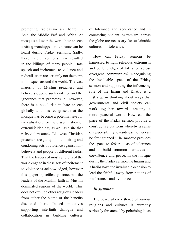promoting radicalism are heard in Asia, the Middle East and Africa. At mosques all over the world hate speech inciting worshippers to violence can be heard during Friday sermons. Sadly, these hateful sermons have resulted in the killings of many people. Hate speech and incitement to violence and radicalisation are certainly not the norm in mosques around the world. The vast majority of Muslim preachers and believers oppose such violence and the ignorance that promotes it. However, there is a noted rise in hate speech globally and it is recognised that the mosque has become a potential site for radicalisation, for the dissemination of extremist ideology as well as a site that risks violent attack. Likewise, Christian preachers are guilty of both inciting and believers and people of different faiths. condoning acts of violence against non-That the leaders of most religions of the world engage in these acts of incitement to violence is acknowledged, however this paper specifically concerns the leaders of the Muslim faith in Muslim dominated regions of the world. This does not exclude other religious leaders from either the blame or the benefits discussed here Indeed initiatives supporting interfaith dialogue and collaboration in building cultures

of tolerance and acceptance and in countering violent extremism across the globe are necessary for sustainable cultures of tolerance.

How can Friday sermons be harnessed to fight religious extremism and build bridges of tolerance across divergent communities? Recognising the invaluable space of the Friday sermon and supporting the influencing role of the Imam and Khatib is a first step in thinking about ways that governments and civil society can work together towards creating a more peaceful world. How can the place of the Friday sermon provide a constructive platform whereby a sense of responsibility towards each other can be strengthened? The mosque provides the space to foster ideas of tolerance and to build common narratives of coexistence and peace. In the mosque during the Friday sermon the Imams and Khatibs have the invaluable occasion to lead the faithful away from notions of intolerance and violence.

#### *summary In*

The peaceful coexistence of various religions and cultures is currently seriously threatened by polarising ideas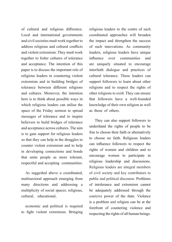of cultural and religious difference. Local and international governments and civil societies must work together to address religious and cultural conflicts and violent extremism. They must work together to foster cultures of tolerance and acceptance. The intention of this paper is to discuss the important role of religious leaders in countering violent extremism and in building bridges of tolerance between different religions and cultures. Moreover, the intention here is to think about possible ways in which religious leaders can utilise the space of the Friday sermon to spread messages of tolerance and to inspire believers to build bridges of tolerance and acceptance across cultures. The aim is to gain support for religious leaders so that they can help in the struggles to counter violent extremism and to help in developing connections and bonds that unite people as more tolerant, respectful and accepting communities.

As suggested above a coordinated, multisectoral approach emerging from many directions and addressing a multiplicity of social spaces; religious, cultural, educational,

economic and political is required to fight violent extremism. Bringing religious leaders to the centre of such coordinated approaches will broaden the impact and strengthen the success of such innovations. As community leaders, religious leaders have unique influence over communities and are uniquely situated to encourage interfaith dialogue and practices of cultural tolerance. These leaders can support followers to learn about other religions and to respect the rights of other religions to exist. They can ensure that followers have a well-founded knowledge of their own religion as well as those of others.

They can also support followers to understand the rights of people to be free to choose their faith or alternatively to choose no faith. Religious leaders can influence followers to respect the rights of women and children and to encourage women to participate in religious leadership and discussions. Religious leaders are integral members of civil society and key contributors to public and political discourse. Problems of intolerance and extremism cannot be adequately addressed through the coercive power of the state. Violence is a problem and religion can be at the forefront of countering violence and respecting the rights of all human beings.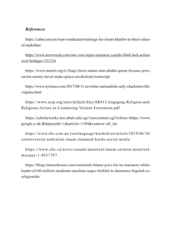# *References*

https://cabar.asia/en/iwpr-conducted-trainings-for-imam-khatibs-in-three-cities-<br>of-tajikistan/

https://www.newsweek.com/one-year-sinjar-massacre-yazidis-blast-lack-action-<br>over-hostages-331216

https://www.memri.org/tv/Iraqi-cleric-salam-zain-abidin-quran-focuses-jews-<br>sworn-enemy-never-make-peace-recalcitrant/transcript

https://www.nytimes.com/2017/08/11/us/white-nationalists-rally-charlottesville-<br>virginia.html

https://www.usip.org/sites/default/files/SR413-Engaging-Religion-and-<br>Religious-Actors-in-Countering-Violent-Extremism.pdf

https://scholarworks.law.ubalt.edu/cgi/viewcontent.cgi?referer=https://www. google.o.uk/&httpsredir=1&article=1384&context=all fac

https://www.sbs.com.au/yourlanguage/kurdish/en/article/2019/06/20/ controversial-australian-imam-slammed-kurds-social-media

https://www.cbc.ca/news/canada/montreal/imam-sermon-montreal-<br>mosque-1.4037397

leader-of-60-million-moderate-muslims-urges-faithful-to-denounce-bigoted-co-<br>religionists/ https://blogs.timesofisrael.com/extremists-blame-jews-for-nz-massacre-while-<br>leader-of-60-million-moderate-muslims-urges-faithful-to-denounce-bigoted-cohttps://blogs.timesofisrael.com/extremists-blame-jews-for-nz-massacre-while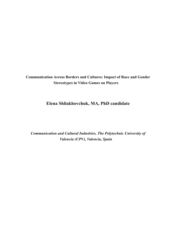**Communication Across Borders and Cultures: Impact of Race and Gender Stereotypes in Video Games on Players** 

# **Elena Shliakhovchuk, MA, PhD candidate**

**Communication and Cultural Industries, The Polytechnic University of**  $Valencia (UPV), Valencia, Spain$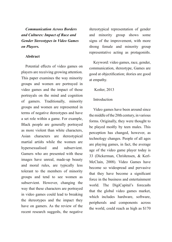*Communication Across Borders and Cultures: Impact of Race and Gender Stereotypes in Video Games*  $on$  *Players.* 

#### **Abstract**

Potential effects of video games on players are receiving growing attention. This paper examines the way minority groups and women are portrayed in video games and the impact of those portrayals on the mind and cognition of gamers. Traditionally, minority groups and women are represented in terms of negative stereotypes and have a set role within a game. For example, Black people are generally portrayed as more violent than white characters, Asian characters are stereotypical martial artists while the women are hypersexualised and subservient. Gamers who are presented with these images have unreal, made-up beauty and moral rules, are typically less tolerant to the members of minority groups and tend to see women as subservient. However, changing the way that these characters are portrayed in video games could lead to breaking the stereotypes and the impact they have on gamers. As the review of the recent research suggests, the negative

stereotypical representation of gender and minority group shows some signs of the improvement, with more strong female and minority group representative acting as protagonists.

Keyword: video games, race, gender, communication, stereotype, Games are good at objectification; stories are good at empathy.

#### Koster, 2013

#### Introduction

Video games have been around since the middle of the 20th century, in various forms. Originally, they were thought to be played mostly by teen males. This perception has changed, however, as technology changes. People of all ages are playing games, in fact, the average age of the video game player today is McClain, 2008). Video Games have 33 (Dickerman, Christensen, & Kerlbecome so widespread and pervasive that they have become a significant force in the business and entertainment world. The DigiCapital's forecasts that the global video games market, which includes hardware, software, peripherals and components across the world, could reach as high as  $$170$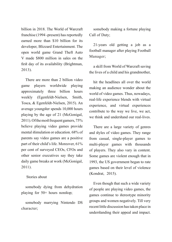billion in 2018. The World of Warcraft franchise (1994 - present) has reportedly earned more than \$10 billion for its developer, Blizzard Entertainment. The open world game Grand Theft Auto V made  $$800$  million in sales on the first day of its availability (Brightman, 2013).

There are more than 2 billion video game players worldwide playing approximately three billion hours weekly (Egenfeldt-Nielsen, Smith, Tosca, & Egenfeldt-Nielsen, 2015). An average youngster spends 10,000 hours playing by the age of  $21$  (McGonigal, 2011). Of the most frequent gamers, 75% believe playing video games provide mental stimulation or education. 68% of parents say video games are a positive part of their child's life. Moreover,  $61\%$ per cent of surveyed CEOs, CFOs and other senior executives say they take daily game breaks at work (McGonigal, 2011).

#### Stories about

somebody dying from dehydration playing for  $50+$  hours nonstop;

somebody marrying Nintendo DS ;character

somebody making a fortune playing Call of Duty;

 $21$ -years old getting a job as a football manager after playing Football Manager;

a skill from World of Warcraft saving the lives of a child and his grandmother,

hit the headlines all over the world making an audience wonder about the world of video games. Thus, nowadays, real-life experience blends with virtual experience, and virtual experiences contribute to the way we live, we act, we think and understand our real-lives.

There are a large variety of genres and styles of video games. They range from casual, single-player games to multi-player games with thousands of players. They also vary in content. Some games are violent enough that in 1993, the US government began to rate games based on their level of violence (Kondrat, 2015).

Even though that such a wide variety of people are playing video games, the games continue to stereotype minority groups and women negatively. Till very recent little discussion has taken place in understanding their appeal and impact.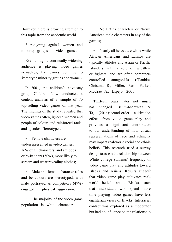However, there is growing attention to this topic from the academic world.

Stereotyping against women and minority groups in video games

Even though a continually widening audience is playing video games nowadays, the games continue to stereotype minority groups and women.

In 2001, the children's advocacy group Children Now conducted a content analysis of a sample of  $70$ top-selling video games of that year. The findings of the study revealed that video games often, ignored women and people of colour, and reinforced racial and gender stereotypes.

Female characters are underrepresented in video games,  $16%$  of all characters, and are pops or by standers  $(50\%)$ , more likely to scream and wear revealing clothes;

Male and female character roles and behaviours are stereotyped, with male portrayed as competitors  $(47%)$ engaged in physical aggression.

The majority of the video game population is white characters.

No Latina characters or Native American male characters in any of the ;games

Nearly all heroes are white while African Americans and Latinos are typically athletes and Asian or Pacific Islanders with a role of wrestlers or fighters, and are often computer-<br>controlled antagonists (Glaubke, Christina R., Miller, Patti, Parker, McCrae A., Espejo, 2001)

Thirteen years later not much has changed. Behm-Morawitz  $\&$ Ta, (2014) second-order cultivation effects from video game play and provides a significant contribution to our understanding of how virtual representations of race and ethnicity may impact real-world racial and ethnic beliefs. This research used a survey design to assess the relationship between White college students' frequency of video game play and attitudes toward Blacks and Asians. Results suggest world beliefs about Blacks, such that video game play cultivates realthat individuals who spend more time playing video games have less egalitarian views of Blacks. Interracial contact was explored as a moderator but had no influence on the relationship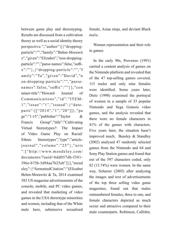between game play and stereotyping. Results are discussed from a cultivation theory as well as a social identity theory particle":"","family":"Behm-Morawit perspective.","author":[{"dropping $x"$ :"", {"dropping-particle":"","f particle":"","parse-names":false,"suffiz","given":"Elizabet","non-droppingamily":"Ta","given":"David","n names":false,"suffix":""}],"con on-dropping-particle":"","parsetainer-title":"Howard Journal of parts":[["2014","1","20"]]},"pa Communications","id":"ITEM-<br>1","issue":"1","issued":{"date $ge$ ":" $1-15$ ","publisher":"Taylor & Francis Group","title":"Cultivating Virtual Stereotypes?: The Impact of Video Game Play on Racial/ Ethnic Stereotypes","type":"article-<br>journal","volume":"25" },"uris Stereotypes","type":"article- $\ldots$ : ["http://www.mendeley.com/  $documents/2uuid=bdd057db-f301-$ 396e-b75b-5d94aa7b25eb"]}],"mend eley": {"formattedCitation":"(Elizabet Behm-Morawitz  $& Ta. 2014$  examined 383 US magazine advertisements of the console, mobile, and PC video games, and revealed that marketing of video games in the USA stereotype minorities and women, including that of the White male hero, submissive sexualised

female, Asian ninja, and deviant Black male.

Women representation and their role in games

In the early  $90s$ , Provenzo  $(1991)$ carried a content analysis of games on the Nintendo platform and revealed that of the  $47$  top-selling games covered, 115 males and only nine females were identified. Some years later, Dietz (1998) examined the portrayal of women in a sample of 33 popular Nintendo and Sega Genesis video games, and the analysis revealed that there were no female characters in  $41\%$  of the games with characters. Five years later, the situation hasn't improved much, Beasley  $&$  Standley  $(2002)$  analysed 47 randomly selected games from the Nintendo and 64 and Sony Play Station games and found that out of the 597 characters coded, only  $82$  (13.74%) were women. In the same way, Scharrer  $(2005)$  after analysing the images and text of advertisements of the top three selling video game magazines, found out that males outnumbered females, three to one, and female characters depicted as much sexier and attractive compared to their male counterparts. Robinson, Callister,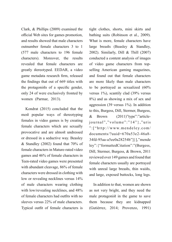Clark,  $& Phillips (2009) examined the$ official Web sites for games promotion, and results showed that male characters outnumber female characters 3 to 1  $f_{577}$  male characters to 196 female characters). Moreover, the results revealed that female characters are greatly stereotyped. EEDAR, a video game metadata research firm, released the findings that out of 669 titles with the protagonists of a specific gender, only 24 of were exclusively fronted by women (Parmar,  $2013$ ).

Kondrat  $(2015)$  concluded that the most popular ways of stereotyping females in video games is by creating female characters which are sexually provocative and are almost undressed or dressed in a seductive way. Beasley & Standley (2002) found that  $70\%$  of female characters in Mature-rated video games and 46% of female characters in Teen-rated video games were presented with abundant cleavage, 86% of female characters were dressed in clothing with low or revealing necklines versus 14% of male characters wearing clothing with low/revealing necklines, and  $48\%$ of female characters had outfits with no sleeves versus  $22%$  of male characters. Typical outfit of female characters is

tight clothes, shorts, mini skirts and bathing suits (Robinson et al., 2009). What is more, female characters have large breasts (Beasley  $\&$  Standley,  $(2002)$ . Similarly, Dill & Thill  $(2007)$ conducted a content analysis of images selling American gaming magazines, of video game characters from topand found out that female characters are more likely than male characters to be portrayed as sexualized  $(60\%$ versus  $1\%$ ), scantily clad (39% versus  $8\%$ ) and as showing a mix of sex and aggression  $(39 \text{ versus } 1\%)$ . In addition to this, Burgess, Dill, Stermer, Burgess, & Brown  $(2011)$ "type":"article-<br>journal", "volume": "14" }, "uris  $(2011)$ " type": "article-/com.mendeley.www://http[":"  $documents/2uuid=670a53e2-46a8-$ 34fd-95aa-a5ee0a28254b"]}],"mende ley": {"formattedCitation":"(Burgess, Dill, Stermer, Burgess, & Brown, 2011 reviewed over 149 games and found that female characters usually are portrayed with unreal large breasts, thin waists, and large, exposed buttocks, long legs.

In addition to that, women are shown as not very bright, and they need the male protagonist in the game to save them because they are kidnapped (Gutiérrez, 2014; Provenzo, 1991)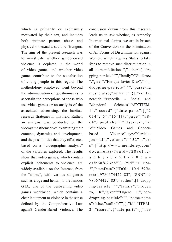which is primarily or exclusively motivated by their sex, and includes both intimate partner abuse and physical or sexual assault by strangers. The aim of the present research was to investigate whether gender-based violence is depicted in the world of video games and whether video games contribute to the socialisation of young people in this regard. The methodology employed went beyond the administration of questionnaires to ascertain the perceptions of those who use video games or an analysis of the associated advertising, the habitual research strategies in this field. Rather, an analysis was conducted of the videogames themselves, examining their contents, dynamics and development, and the possibilities that they offer, etc., based on a "videographic analysis" of the variables explored. The results show that video games, which contain explicit incitements to violence, are widely available on the Internet, from the "anime", with various subgenres such as eroge and hentai, to the famous GTA, one of the best-selling video games worldwide, which contains a clear incitement to violence in the sense defined by the Comprehensive Law against Gender-Based Violence. The

conclusion drawn from this research leads us to ask whether, as Amnesty International claims, we are in breach of the Convention on the Elimination of All Forms of Discrimination against Women, which requires States to take steps to remove such discrimination in all its manifestations.","author":[{"dro pping-particle":"","family":"Gutiérrez dropping-particle":"","parse-na ","given":"Enrique Javier Díez","nonmes":false,"suffix":""}],"contai ner-title":"Procedia - Social and Behavioral Sciences","id":"ITEM-<br>1","issued":{"date-parts":[["2  $014", "5", "15"]$ }, "page": "58-64","publisher":"Elsevier","tit based Violence","type":"article-<br>journal","volume":"132"},"uri Games and Gender-<br>Violence","type":"articlele":"Video" s":["http://www.mendeley.com/  $documents/?uuid=7288c112-$ 2","itemData": {"DOI":"10.4159/ha cafb68f623b8"]}, {"id":"ITEM $a\ 5\ b\ e\ -\ 3\ c\ 9\ f\ -\ 9\ 0\ 5\ a\$ rvard.9780674422483"."ISBN":"9 780674422483","author":[{"dropp ing-particle":"","family":"Proven zo, Jr.","given":"Eugene F.","non-<br>dropping-particle":"","parse-name Jr.","given":"Eugene F.","nons":false,"suffix":""}],"id":"ITEM-<br>2","issued":{"date-parts":[["199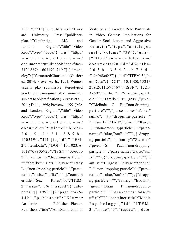$1", "1", "31"$ ]], "publisher": "Harv" and University Press","publisher-<br>place":"Cambridge, MA and Press","publisher-London, England","title":"Video Kids","type":"book"},"uris":["http:// www.mendeley.com/ documents/?uuid=e85b3eac-f0a5-342f-889b-1603190c74f4"]}],"mend eley": {"formattedCitation":"(Gutiérr ez, 2014; Provenzo, Jr., 1991. Women usually play submissive, stereotyped gender or the marginal role of women or subject to objectification (Burgess et al., 2011; Dietz, 1998; Provenzo, 1991)MA and London, England","title":"Video Kids","type":"book"},"uris":["http:// www.mendeley.com/ 2","itemData": {"DOI":"10.1023/A: f 0 a 5 - 3 4 2 f - 8 8 9 b -<br>1603190c74f4"]},{"id":"ITEM-<br>2","itemData":{"DOI":"10.1023/A: documents/?uuid=e85b3eac-<br>f 0 a 5 - 3 4 2 f - 8 8 9 b -<br>1603190c74f4"]},{"id":"ITEM $d$ ocuments/?uuid=e85b3eac-1018709905920","ISSN":"036000  $25$ ", "author":  $[$  {"dropping-particle": "","family":"Dietz","given":"Tracy names":false,"suffix":""}],"contain L."," non-dropping-particle":""," parseparts": [["1998"]]},"page":"425er-title":"Sex Roles","id":"ITEM-<br>2","issue":"5/6","issued":{"date- $442$ ", " publisher": "Kluwer Academic Publishers-Plenum Publishers","title":"An Examination of

Violence and Gender Role Portrayals in Video Games: Implications for Gender Socialization and Aggressive Behavior","type":"article-jou rnal","volume":"38"},"uris":  $\lceil$  "http://www.mendeley.com/  $documents/?uuid=3d6671b4$ ffa9b068efe2"]}, {"id":"ITEM-3","it  $f 6 3 b - 3 5 4 2 - b 7 6 d$ emData": {"DOI":"10.1080/15213 269.2011.596467","ISSN":"1521-3269","author":[{"dropping-parti cle":"","family":"Burgess","given ":"Melinda C. R.","non-dropping-<br>particle":"","parse-names":false," R.","non-dropping- $\text{suffix}$ ":"" $\}, \{``dropping-particle":"$ ","family":"Dill","given":"Karen names":false,"suffix":""}, {"droppi E.","non-dropping-particle":"","parseng-particle":"","family":"Stermer" ","given":"S. Paul","non-dropping-<br>particle":"","parse-names":false,"suff Paul","non-dropping- $\{x''''''''\}$ , {"dropping-particle":"","f amily":"Burgess","given":"Stephen names":false,"suffix":""},{"droppi R."," non-dropping-particle":""," parseng-particle":"","family":"Brown", "given":"Brian P.","non-dropping-<br>particle":"","parse-names":false,"s P.","non-droppinguffix":""}],"container-title":"Media Psychology","id":"ITEM-<br>3","issue":"3","issued":{"date-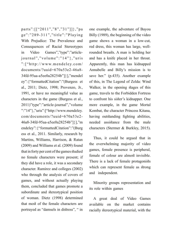parts": $[[$ "2011","8","31"]]},"pa  $ge$ ":"289-311","title":" $Playing$ With Prejudice: The Prevalence and Consequences of Racial Stereotypes in Video Games","type":"article-<br>journal","volume":"14"},"uris Games","type":"article-/com.mendeley.www://http[":"  $documents/2$ uuid= $670a53e2-46a8$ -34fd-95aa-a5ee0a28254b"]}],"mendel ey": {"formattedCitation":"(Burgess et al., 2011; Dietz, 1998; Provenzo, Jr., 1991, or have no meaningful value as characters in the game (Burgess et al., 2011)"type":"article-journal","volume ":" $14"$ ; "uris":["http://www.mendeley.  $com/documents/2$ uuid=670a53e2-46a8-34fd-95aa-a5ee0a28254b"]}],"m endeley": {"formattedCitation":"(Burg ess et al., 2011. Similarly, research by Martins, Williams, Harrison, & Ratan  $(2009)$  and Williams et al.  $(2009)$  found that in forty per cent of the games studied no female characters were present: if they did have a role, it was a secondary character. Ramirez and colleges (2002) who through the analysis of covers of games, and without actually playing them, concluded that games promote a subordinate and stereotypical position of woman. Dietz (1998) determined that most of the female characters are portrayed as " damsels in distress". " in one example, the adventure of Bayou Billy (1989), the beginning of the video game shows a woman in a low-cut, rounded breasts. A man is holding her red dress, this woman has large, welland has a knife placed in her throat. Apparently, this man has kidnapped Annabelle and Billy's mission is to save her." (p.435). Another example of this, in The Legend of Zelda: Wind Walker, in the opening stages of this game, travels to the Forbidden Fortress to confront his sister's kidnapper. One more example, in the game Mortal Kombat, the character Princess Kitana, having outstanding fighting abilities, needed assistance from the male characters (Stermer & Burkley, 2015).

Thus, it could be argued that in the overwhelming majority of video games, female presence is peripheral, female of colour are almost invisible. There is a lack of female protagonists which can represent female as strong and independent.

Minority groups representation and its role within games

A great deal of Video Games available on the market contains racially stereotypical material, with the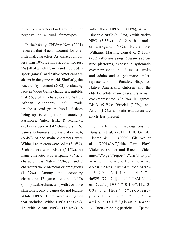minority characters built around either negative or cultural stereotypes.

In their study, Children Now (2001)  $f$ fifth of all characters: Asians account for revealed that Blacks account for oneless than  $10\%$ ; Latinos account for just  $2\%$  (all of which are men and involved in sports games), and native Americans are absent in the game world. Similarly, the research by Leonard  $(2002)$ , evaluating race in Video Game characters, unfolds that  $56\%$  of all characters are White; African Americans (22%) made up the second group (most of them being sports competitors characters). Passmore, Yates, Birk, & Mandryk  $(2017)$  categorized 42 characters in 63 games as humans; the majority  $(n=34,$  $69.4\%$ ) of the main characters were White, 4 characters were Asian  $(8.16\%)$ , 3 characters were Black  $(6.12\%)$ , no main character was Hispanic  $(0\%)$ , 1 character was Native  $(2.04\%)$ , and 7 characters were bi-racial or ambiguous  $(14.29\%)$ . Among the secondary characters: 17 games featured NPCs  $non-plavable characters$ ) with 2 or more skin tones: only 5 games did not feature White NPCs. There were 49 games that included White NPCs  $(55.06\%)$ , 12 with Asian NPCs (13.48%), 8

with Black NPCs  $(10.11\%)$ , 4 with Hispanic NPCs  $(4.49\%)$ , 3 with Native NPCs  $(3.37\%)$ , and 12 with bi-racial or ambiguous NPCs. Furthermore, Williams, Martins, Consalvo, & Ivory  $(2009)$  after analysing 150 games across nine platforms, exposed a systematic over-representation of males, white representation of females, Hispanics, and adults and a systematic under-Native Americans, children and the elderly. White main characters remain over-represented  $(85.0\%)$  in games; Black  $(9.7\%)$ ; Biracial  $(3.7\%)$ ; and Asian  $(1.7%)$  as main characters are much less present.

Similarly, the investigations of Burgess et al. (2011); Dill, Gentile, Richter, & Dill (2005); Glaubke et al.  $(2001)$ CA.","title":"Fair Play? Violence, Gender and Race in Video ames.","type":"report";","uris":["http:// www.mendeley.com/  $d$ ocuments/?uuid=9fcf9495- $1 5 3 b - 3 4 f b - a 4 2 7 -$ 4a9291f77b07"]}, {"id":"ITEM-2","it emData": {"DOI":"10.1037/11213particle": "", "f- $008$ ", "author": [ $\frac{4}{3}$ " dropping $amily$ ":" $Di11$ "," $given$ ":"Karen E.","non-dropping-particle":"","parse-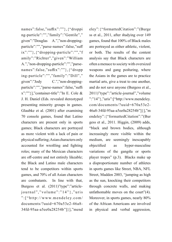names":false,"suffix":""},{"droppi ng-particle":"","family":"Gentile"," particle":"","parse-names":false,"suff given":"Douglas A.","non-dropping- $\{x''''''''\}, \{``dropping-particle''''''''''\}$ amily":"Richter","given":"William names":false,"suffix":""}, {"dropp A.","non-dropping-particle":"","parseing-particle":"","family":"Dill"," given":"Jody C.","non-dropping-<br>particle":"","parse-names":false,"suffi C.","non-dropping $x$ ":""}],"container-title":"In E. Cole & J. H. Daniel (Eds. revealed stereotyped presenting minority groups in games. Glaubke et al.  $(2001)$  after examining 70 console games, found that Latino characters are present only in sports games; Black characters are portrayed as more violent with a lack of pain or physical suffering; Asian characters only accounted for wrestling and fighting roles; many of the Mexican characters are off-centre and not entirely likeable: the Black and Latino male characters tend to be competitors within sports games, and 70% of all Asian characters are combatants. In line with that, journal","volume":"14"},"uris Burgess et al. (2011)"type":"article-":["http://www.mendeley.com/  $documents$ ?uuid= $670a53e2-46a8$ -34fd-95aa-a5ee0a28254b"]}]."mend

eley": {"formattedCitation":"(Burge ss et al., 2011, after studying over 149 games, found that 100% of Black males are portrayed as either athletic, violent, or both. The results of the content analysis say that Black characters are often a menace to society with oversized weapons and gang posturing, where the Asians in the games are to practice martial arts, give a treat to one another, and do not save anyone (Burgess et al., 2011)"type":"article-journal","volume  $"$ :" $14"$ },"uris":["http://www.mendeley.  $comdocuments/2$ uuid=670a53e2-46a8-34fd-95aa-a5ee0a28254b"]}],"m endeley": {"formattedCitation":"(Bur gess et al.,  $2011$ . Higgin,  $(2009)$  adds, "black and brown bodies, although increasingly more visible within the medium, are seemingly inescapably objectified as hyper-masculine variations of the gangsta or sports player tropes" (p.3). Blacks make up a disproportionate number of athletes in sports games like Street, NBA, NFL Street, Madden 2003, "jumping as high as the sun, knocking their competitors through concrete walls, and making unfathomable moves on the court" $(4)$ . Moreover, in sports games, nearly 80% of the African Americans are involved in physical and verbal aggression,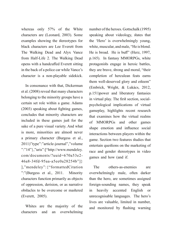whereas only 57% of the White characters are (Leonard, 2003). Some examples showing the stereotypes for black characters are Lee Everett from The Walking Dead and Alyx Vance from Half-Life 2. The Walking Dead opens with a handcuffed Everett sitting in the back of a police car while Vance's character is a non-playable sidekick.

In consonance with that, Dickerman et al. (2008) reveal that many characters belonging to the minority groups have a certain set role within a game. Adams  $(2003)$  speaking about fighting games, concludes that minority characters are included in these games just for the sake of a pure visual variety. And what is more, minorities are almost never a primary character (Burgess et al., 2011)"type":"article-journal","volume  $"$ :" $14"$ },"uris":["http://www.mendeley.  $com/documents/2$ uuid=670a53e2-46a8-34fd-95aa-a5ee0a28254b"]} ],"mendeley": {"formattedCitation ":"(Burgess et al., 2011. Minority characters function primarily as objects of oppression, derision, or as narrative obstacles to be overcome or mastered  $(Everett, 2005)$ .

Whites are the majority of the characters and an overwhelming number of the heroes. Gottschalk (1995) speaking about videology, states that the 'Hero' is overwhelmingly young, white, muscular, and male, "He is blond. He is broad. He is buff" (Herz, 1997, p.165). In fantasy MMORPGs, white protagonists engage in heroic battles, they are brave, strong and moral, "their completion of herculean feats earns them well-deserved glory and esteem" (Embrick, Wright, & Lukács, 2012, p.151) power and liberatory fantasies psychological implications of virtual in virtual play. The first section, socialgameplay, highlights recent research that examines how the virtual realms of MMORPGs and other games shape emotion and influence social interactions between players within the game. Section two features studies that entertain questions on the marketing of race and gender stereotypes in video games and how (and if.

The others-as-enemies are overwhelmingly male, often darker than the hero, are sometimes assigned foreign-sounding names, they speak in heavily accented English or unrecognisable languages. The hero's lives are valuable, limited in number. and monitored by flashing warning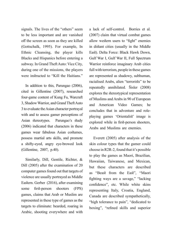signals. The lives of the "others" seem to be less important and are vanished off the screen as soon as they are killed (Gottschalk, 1995). For example, In Ethnic Cleansing, the player kills Blacks and Hispanics before entering a subway. In Grand Theft Auto: Vice City, during one of the missions, the players were instructed to "Kill the Haitians."

In addition to this, Parungao  $(2006)$ , cited in Gillentine (2007), researched four-game content of Kung Fu, Warcraft 3, Shadow Warrior, and Grand Theft Auto 3 to evaluate the Asian character portrayal with and to assess gamer perceptions of Asian stereotypes. Parungao's study  $(2006)$  indicated that characters in these games wear fabulous Asian costumes, possess martial arts skills, and promote a shifty-eyed, angry eye-browed look  $(Gillentine, 2007, p.40)$ .

Similarly, Dill, Gentile, Richter, & Dill  $(2005)$  after the examination of 20 computer games found out that targets of violence are usually portrayed as Middle Eastern. Gerber (2016), after examining some first-person shooters (FPS) games, claims that Arab or Muslim are represented in these type of games as the targets to eliminate: bearded, roaring in Arabic, shooting everywhere and with

a lack of self-control. Borries et al.  $(2007)$  claim that virtual combat games allow western users to "fight" enemies in distant cities (usually in the Middle East). Delta Force: Black Hawk Down, Gulf War I, Gulf War II, Full Spectrum Warrior reinforce imaginary Arab cities full with terrorism, people in these games are represented as shadowy, subhuman, racialised Arabs, alien "terrorists" to be repeatedly annihilated. Šisler (2008) explores the stereotypical representation of Muslims and Arabs in 90 of European and American Video Games: he playing games 'Orientalist' image is concludes that in adventure and roleexplored while in first-person shooters, Arabs and Muslims are enemies.

Everett  $(2005)$  after analysis of the skin colour types that the gamer could choose in R2R-2, found that it's possible to play the games as Maori, Brazilian, Hawaiian, Taiwanese, and Mexican, but these characters are described as "Beast from the East", "Maori fighting ways are a savage," "lacking confidence", etc. While white skins representing Italy, Croatia, England, Canada are described sympathetically, "high tolerance to pain", "dedicated to boxing", "refined skills and superior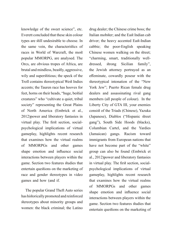knowledge of the sweet science", etc. Everett concluded that these skin colour types are still undesirable to choose. In the same vein, the characteristics of races in World of Warcraft, the most popular MMORPG, are analysed. The Orcs, are obvious tropes of Africa, are brutal and mindless, beastly, aggressive, wily and superstitious; the speck of the Troll contains stereotypical West Indies accents; the Tauren race has hooves for feet, horns on their heads, "huge, bestial creatures" who "cultivate a quiet, tribal society" representing the Great Plains of North America (Embrick et al., 2012) power and liberatory fantasies in psychological implications of virtual virtual play. The first section, socialgameplay, highlights recent research that examines how the virtual realms of MMORPGs and other games shape emotion and influence social interactions between players within the game. Section two features studies that entertain questions on the marketing of race and gender stereotypes in video games and how (and if.

The popular Grand Theft Auto series has historically promoted and reinforced stereotypes about minority groups and women: the black criminal: the Latino drug dealer; the Chinese crime boss; the Italian mobster; and the East Indian cab driver; the heavy accented East-Indian cabbie; the poor-English speaking Chinese women walking on the street; "charming, smart, traditionally well-<br>dressed, strong Sicilian family", the Jewish attorney portrayed as an effeminate, cowardly poseur with the stereotypical intonation of the "New York Jew"; Puerto Rican female drug dealers and assassinating rival gang members (all people of colour). In the Liberty City of GTA III, your enemies consist of the Triads (Chinese), Yazuka (Japanese), Diablos ("Hispanic street) gang"), South Side Hoods (blacks), Columbian Cartel, and the Yardies (Jamaican) gangs. Racism toward immigrants from European nations that have not become part of the "white" group can also be found (Embrick et al., 2012) power and liberatory fantasies psychological implications of virtual in virtual play. The first section, socialgameplay, highlights recent research that examines how the virtual realms of MMORPGs and other games shape emotion and influence social interactions between players within the game. Section two features studies that entertain questions on the marketing of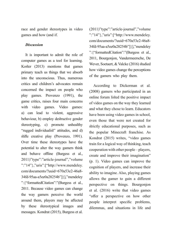race and gender stereotypes in video games and how (and if.

#### *Discussion*

It is important to admit the role of computer games as a tool for learning. Koster  $(2013)$  mentions that games primary teach us things that we absorb into the unconscious. Thus, numerous critics and children's advocates remain concerned the impact on people who play games. Provenzo (1991), the game critics, raises four main concerns with video games. Video games: a) can lead to violent, aggressive behaviour, b) employ destructive gender stereotyping, c) promote unhealthy "rugged individualist" attitudes, and d) stifle creative play (Provenzo, 1991). Over time these stereotypes have the potential to alter the way gamers think and behave offline (Burgess et al., 2011)"type":"article-journal","volume  $"$ :" $14"$ },"uris":["http://www.mendeley. com/documents/?uuid=670a53e2-46a8-34fd-95aa-a5ee0a28254b"]}],"mendeley ": {"formattedCitation":"(Burgess et al., 2011. Because video games can change the way gamers perceive the world around them, players may be affected by these stereotypical images and messages. Kondrat (2015), Burgess et al.

 $(2011)$ "type":"article-journal","volume ":" $14"$ , "uris": ["http://www.mendeley. com/documents/?uuid=670a53e2-46a8-34fd-95aa-a5ee0a28254b"]}],"mendeley ": {"formattedCitation":"(Burgess et al., 2011, Bourgonjon, Vandermeersche, De Wever, Soetaert, & Valcke (2016) studied how video games change the perceptions of the gamers who play them.

According to Dickerman et al.  $(2008)$  gamers who participated in an online forum listed the positive impact of video games on the way they learned and what they chose to learn. Educators have been using video games in school, even those that were not created for strictly educational purposes, such as the popular Minecraft franchise. As Kondrat (2015) writes, "video games train for a logical way of thinking, teach cooperation with other people  $-$  players, create and improve their imagination"  $(p. 1)$ . Video games can improve the cognition of players, and increase their ability to imagine. Also, playing games allows the gamer to gain a different perspective on things. Bourgonjon et al.  $(2016)$  write that video games "offer a perspective on how other people interpret specific problems, dilemmas, and situations in life and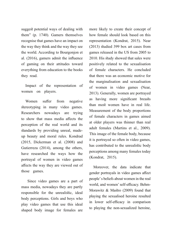suggest potential ways of dealing with them" (p.  $1740$ ). Gamers themselves recognise that games have an impact on the way they think and the way they see the world. According to Bourgonjon et al.  $(2016)$ , gamers admit the influence of gaming on their attitudes toward everything from education to the books they read.

Impact of the representation of women on players.

Women suffer from negative stereotyping in many video games. Researchers nowadays are trying to show that mass media affects the perception of the real world and its up beauty and moral rules. Kondrad standards by providing unreal, made- $(2015, Dickerman et al. (2008) and$ Gutierreza  $(2014)$ , among the others, have researched the ways how the portrayal of women in video games affects the way they are viewed out of those games.

Since video games are a part of mass media, nowadays they are partly responsible for the unrealistic, ideal body perceptions. Girls and boys who play video games that use this ideal shaped body image for females are

more likely to create their concept of how female should look based on this representation (Kondrat, 2015). Near  $(2013)$  studied 399 box art cases from games released in the US from 2005 to 2010. His study showed that sales were positively related to the sexualisation of female characters. He concluded that there was an economic motive for the marginalisation and sexualisation of women in video games (Near, 2013). Generally, women are portrayed as having more significant breasts than most women have in real life. Measurement of the body proportions of female characters in games aimed at older players was thinner than real adult females (Martins et al., 2009). This image of the female body, because it is portrayed so often in video games, has contributed to the unrealistic body perceptions among many females today (Kondrat, 2015).

Moreover, the data indicate that gender portrayals in video games affect people's beliefs about women in the real Morawitz  $& \text{Mastro}$  (2009) found that world, and women' self-efficacy. Behmplaying the sexualised heroine resulted in lower self-efficacy in comparison to playing the non-sexualized heroine,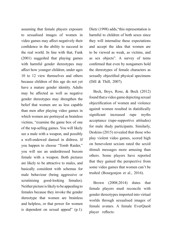assuming that female players exposure to sexualised images of women in video games may affect negatively their confidence in the ability to succeed in the real world. In line with that, Funk  $(2001)$  suggested that playing games with harmful gender stereotypes may affect how younger children, under ages  $10$  to  $12$  view themselves and others because children of this age do not yet have a mature gender identity. Adults may be affected as well as negative gender stereotypes may strengthen the belief that women are as less capable than men after playing video games in which women are portrayed as brainless victims, "examine the game box of one" of the top-selling games. You will likely see a male with a weapon, and possibly a well-endowed damsel in distress. If you happen to choose "Tomb Raider." you will see an underdressed buxom female with a weapon. Both pictures are likely to be attractive to males, and basically consistent with schemas for male behaviour (being aggressive or scrutinising good-looking females). Neither picture is likely to be appealing to females because they invoke the gender stereotype that women are brainless and helpless, or that power for women is dependent on sexual appeal"  $(p,1)$ .

Dietz (1998) adds, "this representation is harmful to children of both sexes since they will internalise these expectations and accept the idea that women are to be viewed as weak, as victims, and as sex objects". A survey of teens confirmed that even by nongamers hold the stereotypes of female characters as sexually objectified physical specimens (Dill & Thill,  $2007$ ).

Beck, Boys, Rose, & Beck  $(2012)$ found that a video game depicting sexual objectification of women and violence against women resulted in statistically significant increased rape myths acceptance (rape-supportive attitudes) for male study participants. Similarly, Deskins  $(2015)$  revealed that those who play violent video games, scored high on benevolent sexism rated the sexist stimuli messages more amusing than others. Some players have reported that they gained the perspective from some video games that women can't be trusted (Bourgonjon et al., 2016).

Brown  $(2008;2014)$  states that female players must reconcile with gender stereotypes imported into virtual worlds through sexualised images of female avatars. A female EverOuest player reflects: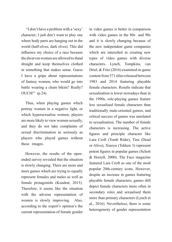"I don't have a problem with a 'sexy' character; I just don't want to play one where body parts are hanging out in the world (half-elves, dark elves). This did influence my choice of a race because the dwarven women are allowed to stand straight and keep themselves clothed in something that makes sense. Guess I have a gripe about representations of fantasy women; who would go into battle wearing a chain bikini? Really?  $OUCH!$ " (p.24)

Thus, when playing games which portray women in a negative light, or which hypersexualise women, players are more likely to view women sexually, and they do not take complaints of sexual discrimination as seriously as players who played games without these images.

ended survey revealed that the situation However, the results of the openis slowly changing. There are more and more games which are trying to equally represent females and males as well as female protagonists (Kondrat, 2015). Therefore, it seems like the situation with the adverse representation of women is slowly improving. Also, according to the expert's opinion's the current representation of female gender

in video games is better in comparison with video games in the  $80s$  and  $90s$ and it is slowly changing because of the new independent game companies which are interested in creating new types of video games with diverse characters. Lynch, Tompkins, van Driel, & Fritz  $(2016)$  examined in-game content from 571 titles released between 1983 and 2014 featuring playable female characters. Results indicate that sexualisation is lower nowadays than in the 1990s, role-playing games feature less sexualised female characters than traditionally male-oriented genres, and critical success of games was unrelated to sexualisation. The number of female characters is increasing. The active figures and principle character like Lara Croft (Tomb Rider), Tina (Dead or Alive), Xiaoyu (Tekken 3) represent potent figures in popular games (Schott  $&$  Horrell, 2000). The Face magazine featured Lara Croft as one of the most popular 20th-century icons. However, despite an increase in games featuring playable female characters, games still depict female characters more often in secondary roles and sexualised them more than primary characters (Lynch et al.,  $2016$ ). Nevertheless, there is some heterogeneity of gender representation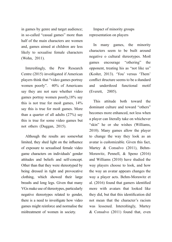in games by genre and target audience; in so-called "casual games" more than half of the main characters are women and, games aimed at children are less likely to sexualise female characters  $(Wohn, 2011)$ .

Interestingly, the Pew Research Centre (2015) investigated if American players think that "video games portray women poorly".  $40\%$  of Americans say they are not sure whether video games portray women poorly,  $18\%$  say this is not true for most games,  $14\%$ say this is true for most games. More than a quarter of all adults  $(27%)$  say this is true for some video games but not others (Duggan, 2015).

Although the results are somewhat limited, they shed light on the influence of exposure to sexualised female video game characters on individuals' gender attitudes and beliefs and self-concept. Other than that they were stereotyped by being dressed in tight and provocative clothing, which showed their large breasts and long legs. Given that many VGs make use of stereotypes, particularly negative stereotypes related to gender, there is a need to investigate how video games might reinforce and normalise the mistreatment of women in society.

Impact of minority groups representation on players

In many games, the minority characters seem to be built around negative o cultural stereotypes. Most games encourage "othering" the opponent, treating his as "not like us" (Koster, 2013). 'You' versus 'Them' conflict structure seems to be a standard and understood functional motif  $(Everett, 2005)$ .

This attitude both toward the dominant culture and toward "others" becomes more enhanced, not less when a player can literally take on whichever "skin" he or she wishes (Williams,  $2010$ ). Many games allow the player to change the way they look as an avatar is customizable. Given this fact, Morawitz, Pennell, & Speno (2016) Martey  $& Consalvo (2011), Behm$ and Williams  $(2010)$  have studied the way players choose to look, and how the way an avatar appears changes the way a player acts. Behm-Morawitz et al.  $(2016)$  found that gamers identified more with avatars that looked like they did, but that this identification did not mean that the character's racism was lessened. Interestingly, Martey & Consalvo  $(2011)$  found that, even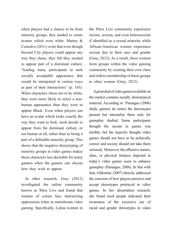when players had a chance to be from minority groups, they tended to create avatars which were white. Martey  $\&$ Consalvo  $(2011)$  write that even though Second City players could appear any way they chose, they felt they needed to appear part of a dominant culture, "leading many participants to seek socially acceptable appearance that would be interpreted in certain ways as part of their interactions" (p. 165). When characters chose not to be white. human appearance than they were to they were more likely to select a nonappear Black. Even when players can have an avatar which looks exactly the way they want to look, most decide to appear from the dominant culture, or not human at all, rather than as being a part of a definable minority group. This shows that the negative stereotyping of minority groups in video games makes those characters less desirable for many gamers when the gamers can choose how they wish to appear.

In other research, Gray  $(2012)$ investigated the online community known as Xbox Live and found that women of colour face intersecting oppressions when in mainstream video gaming. Specifically, Latina women in the Xbox Live community experience racism, sexism, and even heterosexism if identified as a sexual minority while African-American women experience sexism due to their race and gender (Gray, 2012). As a result, these women form groups within the video gaming community by creating their own clans and restrict membership of these groups to other women (Gray, 2012).

A great deal of video games available on the market contains racially stereotypical material. According to Parungao (2006) study, gamers do notice the stereotypes present but internalise them only for gameplay studied. Some participants thought the racism in games was terrible, but the majority thought video games should not have to be politically correct and society should not take them seriously. Moreover, the offensive names, slurs, or physical features depicted in today's video games seem to enhance gameplay (Parungao, 2006). In line with that, Gillentine (2007) directly addressed the concerns of how players perceive and accept stereotypes portrayed in video games. In her dissertation research. she found most people indicated their awareness of the excessive use of racial and gender stereotypes in video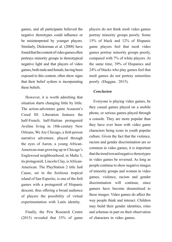games, and all participants believed the negative stereotypes could influence or be misinterpreted by younger players. Similarly, Dickerman et al. (2008) have found that the content of video games often portrays minority groups in stereotypical negative light and that players of video games, both male and female, having been exposed to this content, often show signs that their belief system is incorporating these beliefs.

However, it is worth admitting that situation starts changing little by little. The action-adventure game Assassin's Creed III: Liberation features the half-French, half-Haitian protagonist Aveline living in 18th-century New Orleans, We Are Chicago, a first-person narrative adventure, played through American man growing up in Chicago's the eyes of Aaron, a young African-Englewood neighbourhood, in Mafia 3, American. The PlayStation 2 title Just its protagonist, Lincoln Clay, is African-Cause, set in the fictitious tropical island of San Esperito, is one of the first games with a protagonist of Hispanic descent, thus offering a broad audience of players the possibility of virtual experimentation with Latin identity.

Finally, the Pew Research Centre  $(2015)$  revealed that  $33\%$  of game players do not think most video games portray minority groups poorly. Some 15% of black and  $12%$  of Hispanic game players feel that most video games portray minority groups poorly, compared with 7% of white players. At the same time, 39% of Hispanics and 24% of blacks who play games feel that most games do not portray minorities poorly (Duggan, 2015).

#### *Conclusion*

Everyone is playing video games, be they casual games played on a mobile phone, or serious games played through a console. They are more popular than they have ever been with video game characters being icons in youth popular culture. Given the fact that the violence, racism and gender discrimination are so common in video games, it is important that the trend toward negative stereotypes in video games be reversed. As long as people continue to show negative images of minority groups and women in video games, violence, racism and gender discrimination will continue, since gamers have become desensitised to these images. Video games do affect the way people think and interact. Children may build their gender identities, roles and schemas in part on their observation of characters in video games.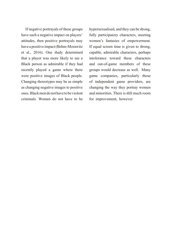If negative portrayals of these groups have such a negative impact on players' attitudes, then positive portrayals may have a positive impact (Behm-Morawitz et al., 2016). One study determined that a player was more likely to see a Black person as admirable if they had recently played a game where there were positive images of Black people. Changing stereotypes may be as simple as changing negative images to positive ones. Black men do not have to be violent criminals. Women do not have to be

hypersexualised, and they can be strong, fully participatory characters, meeting women's fantasies of empowerment. If equal screen time is given to strong, capable, admirable characters, perhaps intolerance toward these characters and out-of-game members of these groups would decrease as well. Many game companies, particularly those of independent game providers, are changing the way they portray women and minorities. There is still much room for improvement, however.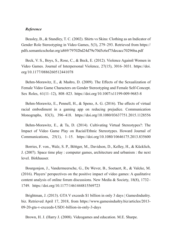#### *Reference*

Beasley, B., & Standley, T. C. (2002). Shirts vs Skins: Clothing as an Indicator of Gender Role Stereotyping in Video Games, 5(3), 279–293. Retrieved from https:// pdfs.semanticscholar.org/a869/79702bd24d79e70d5c6ef75decacc70296ba.pdf

Beck, V. S., Boys, S., Rose, C., & Beck, E. (2012). Violence Against Women in Video Games. Journal of Interpersonal Violence,  $27(15)$ ,  $3016-3031$ . https://doi. org/10.1177/0886260512441078

Behm-Morawitz, E., & Mastro, D. (2009). The Effects of the Sexualization of Female Video Game Characters on Gender Stereotyping and Female Self-Concept. Sex Roles, 61(11–12), 808–823. https://doi.org/10.1007/s11199-009-9683-8

Behm-Morawitz, E., Pennell, H., & Speno, A. G. (2016). The effects of virtual racial embodiment in a gaming app on reducing prejudice. Communication Monographs, 83(3), 396–418. https://doi.org/10.1080/03637751.2015.1128556

Behm-Morawitz, E., & Ta, D. (2014). Cultivating Virtual Stereotypes?: The Impact of Video Game Play on Racial/Ethnic Stereotypes. Howard Journal of Communications, 25(1), 1–15. https://doi.org/10.1080/10646175.2013.835600

Borries, F. von., Walz, S. P., Böttger, M., Davidson, D., Kelley, H., & Kücklich, J.  $(2007)$ . Space time play : computer games, architecture and urbanism : the next level. Birkhauser.

Bourgonjon, J., Vandermeersche, G., De Wever, B., Soetaert, R., & Valcke, M.  $(2016)$ . Players' perspectives on the positive impact of video games: A qualitative content analysis of online forum discussions. New Media & Society,  $18(8)$ ,  $1732-$ 1749. https://doi.org/10.1177/1461444815569723

Brightman, J. (2013). GTA V exceeds \$1 billion in only 3 days  $\vert$  GamesIndustry. biz. Retrieved April 17, 2018, from https://www.gamesindustry.biz/articles/2013-09-20-gta-v-exceeds-USD1-billion-in-only-3-days

Brown, H. J. (Harry J. (2008). Videogames and education. M.E. Sharpe.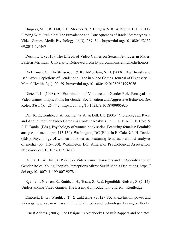Burgess, M. C. R., Dill, K. E., Stermer, S. P., Burgess, S. R., & Brown, B. P. (2011). Playing With Prejudice: The Prevalence and Consequences of Racial Stereotypes in Video Games. Media Psychology, 14(3), 289–311. https://doi.org/10.1080/152132 69.2011.596467

Deskins, T. (2015). The Effects of Video Games on Sexism Attitudes in Males. Eastern Michigan University. Retrieved from http://commons.emich.edu/honors

Dickerman, C., Christensen, J., & Kerl-McClain, S. B. (2008). Big Breasts and Bad Guys: Depictions of Gender and Race in Video Games. Journal of Creativity in Mental Health, 3(1), 20-29. https://doi.org/10.1080/15401380801995076

Dietz, T. L. (1998). An Examination of Violence and Gender Role Portrayals in Video Games: Implications for Gender Socialization and Aggressive Behavior. Sex Roles, 38(5/6), 425–442. https://doi.org/10.1023/A:1018709905920

Dill, K. E., Gentile, D. A., Richter, W. A., & Dill, J. C. (2005). Violence, Sex, Race, and Age in Popular Video Games: A Content Analysis. In U. A. P. A. In E. Cole  $\&$ J. H. Daniel (Eds.), Psychology of women book series. Featuring females: Feminist analyses of media (pp. 115-130). Washington, DC (Ed.), In E. Cole & J. H. Daniel (Eds.), Psychology of women book series. Featuring females: Feminist analyses of media (pp. 115–130). Washington DC: American Psychological Association. https://doi.org/10.1037/11213-008

Dill, K. E., & Thill, K. P. (2007). Video Game Characters and the Socialization of Gender Roles: Young People's Perceptions Mirror Sexist Media Depictions. https:// doi.org/10.1007/s11199-007-9278-1

Egenfeldt-Nielsen, S., Smith, J. H., Tosca, S. P., & Egenfeldt-Nielsen, S. (2015). Understanding Video Games: The Essential Introduction (2nd ed.). Routledge.

Embrick, D. G., Wright, J. T., & Lukács, A. (2012). Social exclusion, power and video game play : new research in digital media and technology. Lexington Books.

Ernest Adams. (2003). The Designer's Notebook: Not Just Rappers and Athletes: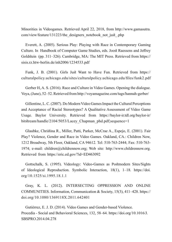Minorities in Videogames. Retrieved April 22, 2018, from http://www.gamasutra. com/view/feature/131223/the designers notebook not just php

Everett, A. (2005). Serious Play: Playing with Race in Contemporary Gaming Culture. In Handbook of Computer Game Studies, eds. Joost Raessens and Jeffrey Goldstein (pp. 311–326). Cambridge, MA: The MIT Press. Retrieved from https:// sisis.rz.htw-berlin.de/inh2006/1234533.pdf

Funk, J. B. (2001). Girls Just Want to Have Fun. Retrieved from https:// eulturalpolicy.uchicago.edu/sites/culturalpolicy.uchicago.edu/files/funk2.pdf

Gerber H, A. S. (2016). Race and Culture in Video Games. Opening the dialogue. Voya, (June), 52–52. Retrieved from http://voyamagazine.com/tags/hannah-gerber/

Gillentine, L. C. (2007). Do Modern Video Games Impact the Cultural Perceptions and Acceptance of Racial Stereotypes? A Qualitative Assessment of Video Game Usage. Baylor University. Retrieved from https://baylor-ir.tdl.org/baylor-ir/ bitstream/handle/2104/5053/Lacey Chapman phd.pdf;sequence=1

Glaubke, Christina R., Miller, Patti, Parker, McCrae A., Espejo, E. (2001). Fair Play? Violence, Gender and Race in Video Games. Oakland, CA.: Children Now, 1212 Broadway, 5th Floor, Oakland, CA 94612. Tel: 510-763-2444; Fax: 510-763-1974; e-mail: children $@$ childrennow.org; Web site: http://www.childrennow.org. Retrieved from https://eric.ed.gov/?id=ED463092

Gottschalk, S. (1995). Videology: Video-Games as Postmodern Sites/Sights of Ideological Reproduction. Symbolic Interaction,  $18(1)$ ,  $1-18$ . https://doi. org/10.1525/si.1995.18.1.1

Gray, K. L. (2012). INTERSECTING OPPRESSION AND ONLINE COMMUNITIES. Information, Communication & Society, 15(3), 411–428. https:// doi.org/10.1080/1369118X.2011.642401

Gutiérrez, E. J. D. (2014). Video Games and Gender-based Violence. Procedia - Social and Behavioral Sciences, 132, 58–64. https://doi.org/10.1016/J. SBSPRO.2014.04.278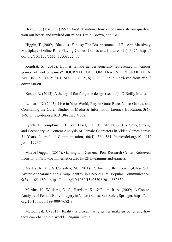Herz, J. C. (Jessie C. (1997). Joystick nation : how videogames ate our quarters, won our hearts and rewired our minds. Little, Brown, and Co.

Higgin, T. (2009). Blackless Fantasy The Disappearance of Race in Massively Multiplayer Online Role-Playing Games. Games and Culture, 4(1), 3–26. https:// doi.org/10.1177/1555412008325477

Kondrat, X. (2015). How is female gender generally represented in various genres of video games? JOURNAL OF COMPARATIVE RESEARCH IN ANTHROPOLOGY AND SOCIOLOGY, 6(1), 2068–2317. Retrieved from http:// compaso.eu

Koster, R. (2013). A theory of fun for game design (second). O'Reilly Media.

Leonard, D. (2003). Live in Your World, Play in Ours: Race, Video Games, and Consuming the Other. Studies in Media & Information Literacy Education,  $3(4)$ , 1-9. https://doi.org/10.3138/sim.3.4.002

Lynch, T., Tompkins, J. E., van Driel, I. I., & Fritz, N. (2016). Sexy, Strong, and Secondary: A Content Analysis of Female Characters in Video Games across 31 Years. Journal of Communication, 66(4), 564-584. https://doi.org/10.1111/  $\gamma$ icom.12237

Maeve Duggan. (2015). Gaming and Gamers | Pew Research Center. Retrieved from http://www.pewinternet.org/2015/12/15/gaming-and-gamers/

Martey, R. M., & Consalvo, M. (2011). Performing the Looking-Glass Self: Avatar Appearance and Group Identity in Second Life. Popular Communication, 9(3), 165–180. https://doi.org/10.1080/15405702.2011.583830

Martins, N., Williams, D. C., Harrison, K., & Ratan, R. A. (2009). A Content Analysis of Female Body Imagery in Video Games. Sex Roles, Springer. https://doi. org/10.1007/s11199-009-9682-9

McGonigal, J.  $(2011)$ . Reality is broken : why games make us better and how they can change the world. Penguin Group.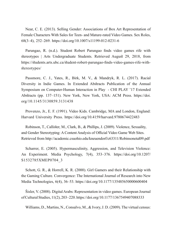Near, C. E. (2013). Selling Gender: Associations of Box Art Representation of Female Characters With Sales for Teen- and Mature-rated Video Games. Sex Roles, 68(3-4), 252-269. https://doi.org/10.1007/s11199-012-0231-6

Parungao, R. (n.d.). Student Robert Parungao finds video games rife with free stere algo Arts Undergraduate Students. Retrieved August 29, 2018, from https://students.arts.ubc.ca/student-robert-parungao-finds-video-games-rife-with-<br>stereotypes/

Passmore, C. J., Yates, R., Birk, M. V., & Mandryk, R. L. (2017). Racial Diversity in Indie Games. In Extended Abstracts Publication of the Annual Symposium on Computer-Human Interaction in Play - CHI PLAY '17 Extended Abstracts (pp. 137–151). New York, New York, USA: ACM Press. https://doi. org/10.1145/3130859.3131438

Provenzo, Jr., E. F. (1991). Video Kids. Cambridge, MA and London, England: Harvard University Press. https://doi.org/10.4159/harvard.9780674422483

Robinson, T., Callister, M., Clark, B., & Phillips, J. (2009). Violence, Sexuality, and Gender Stereotyping: A Content Analysis of Official Video Game Web Sites. Retrieved from http://academic.csuohio.edu/kneuendorf/c63311/Robinsonetal09.pdf

Scharrer, E. (2005). Hypermasculinity, Aggression, and Television Violence: An Experiment. Media Psychology,  $7(4)$ ,  $353-376$ . https://doi.org/10.1207/ S1532785XMEP0704 3

Schott, G. R., & Horrell, K. R. (2000). Girl Gamers and their Relationship with the Gaming Culture. Convergence: The International Journal of Research into New Media Technologies, 6(4), 36–53. https://doi.org/10.1177/135485650000600404

Sisler, V. (2008). Digital Arabs: Representation in video games. European Journal of Cultural Studies, 11(2), 203-220. https://doi.org/10.1177/1367549407088333

Williams, D., Martins, N., Consalvo, M., & Ivory, J. D. (2009). The virtual census: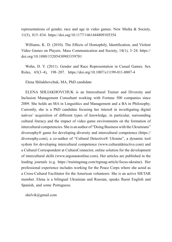representations of gender, race and age in video games. New Media  $\&$  Society, 11(5), 815–834. https://doi.org/10.1177/1461444809105354

Williams, K. D. (2010). The Effects of Homophily, Identification, and Violent Video Games on Players. Mass Communication and Society,  $14(1)$ ,  $3-24$ . https:// doi.org/10.1080/15205430903359701

Wohn, D. Y. (2011). Gender and Race Representation in Casual Games. Sex Roles, 65(3-4), 198-207. https://doi.org/10.1007/s11199-011-0007-4

Elena Shliakhovchuk, MA, PhD candidate

ELENA SHLIAKHOVCHUK is an Intercultural Trainer and Diversity and Inclusion Management Consultant working with Fortune 500 companies since 2009. She holds an MA in Linguistics and Management and a BA in Philosophy. Currently, she is a PhD candidate focusing her interest in investigating digital natives' acquisition of different types of knowledge, in particular, surrounding cultural literacy and the impact of video game environments on the formation of intercultural competencies. She is an author of "Doing Business with the Ukrainians" diversophy® game for developing diversity and intercultural competence (https:// diversophy.com), a co-author of "Cultural Detective® Ukraine", a dynamic tool system for developing intercultural competence (www.cultural detective.com) and a Cultural Correspondent at CultureConnector, online solution for the development of intercultural skills (www.argonautonline.com). Her articles are published in the leading journals (e.g. https://trainingmag.com/trgmag-article/focus-ukraine). Her professional experience includes working for the Peace Corps where she acted as a Cross-Cultural Facilitator for the American volunteers. She is an active SIETAR member. Elena is a bilingual Ukrainian and Russian, speaks fluent English and Spanish, and some Portuguese.

shelvik@gmail.com